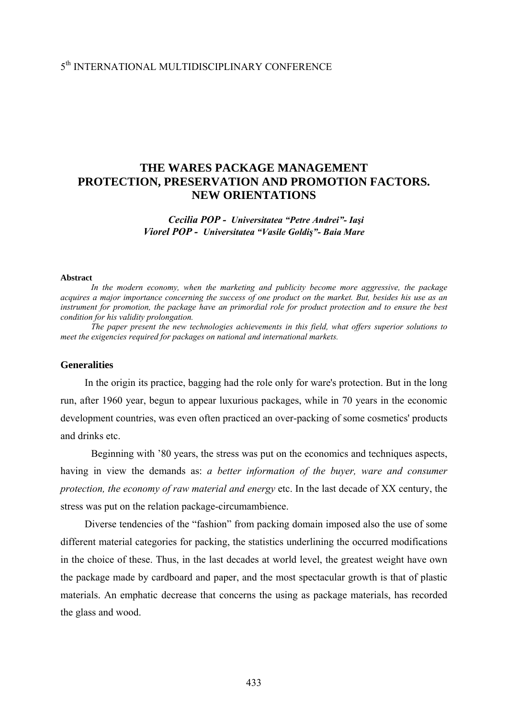## 5th INTERNATIONAL MULTIDISCIPLINARY CONFERENCE

# **THE WARES PACKAGE MANAGEMENT PROTECTION, PRESERVATION AND PROMOTION FACTORS. NEW ORIENTATIONS**

*Cecilia POP - Universitatea "Petre Andrei"- Iaşi Viorel POP -**Universitatea "Vasile Goldiş"- Baia Mare*

#### **Abstract**

*In the modern economy, when the marketing and publicity become more aggressive, the package acquires a major importance concerning the success of one product on the market. But, besides his use as an instrument for promotion, the package have an primordial role for product protection and to ensure the best condition for his validity prolongation.* 

 *The paper present the new technologies achievements in this field, what offers superior solutions to meet the exigencies required for packages on national and international markets.* 

## **Generalities**

In the origin its practice, bagging had the role only for ware's protection. But in the long run, after 1960 year, begun to appear luxurious packages, while in 70 years in the economic development countries, was even often practiced an over-packing of some cosmetics' products and drinks etc.

 Beginning with '80 years, the stress was put on the economics and techniques aspects, having in view the demands as: *a better information of the buyer, ware and consumer protection, the economy of raw material and energy* etc. In the last decade of XX century, the stress was put on the relation package-circumambience.

Diverse tendencies of the "fashion" from packing domain imposed also the use of some different material categories for packing, the statistics underlining the occurred modifications in the choice of these. Thus, in the last decades at world level, the greatest weight have own the package made by cardboard and paper, and the most spectacular growth is that of plastic materials. An emphatic decrease that concerns the using as package materials, has recorded the glass and wood.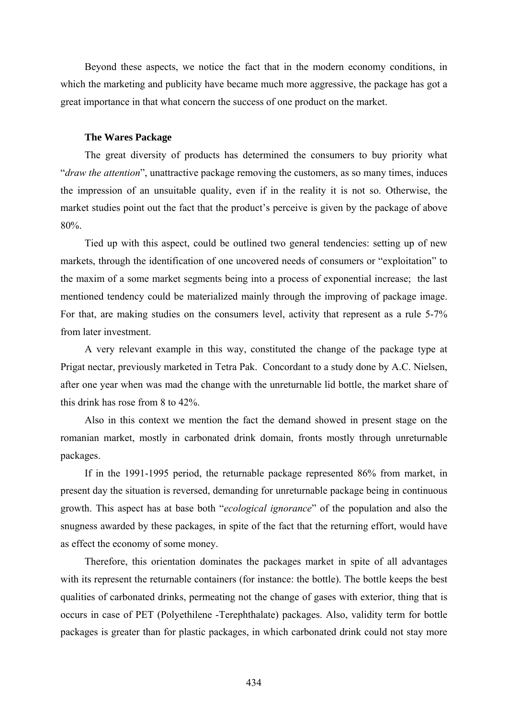Beyond these aspects, we notice the fact that in the modern economy conditions, in which the marketing and publicity have became much more aggressive, the package has got a great importance in that what concern the success of one product on the market.

### **The Wares Package**

The great diversity of products has determined the consumers to buy priority what "*draw the attention*", unattractive package removing the customers, as so many times, induces the impression of an unsuitable quality, even if in the reality it is not so. Otherwise, the market studies point out the fact that the product's perceive is given by the package of above 80%.

Tied up with this aspect, could be outlined two general tendencies: setting up of new markets, through the identification of one uncovered needs of consumers or "exploitation" to the maxim of a some market segments being into a process of exponential increase; the last mentioned tendency could be materialized mainly through the improving of package image. For that, are making studies on the consumers level, activity that represent as a rule 5-7% from later investment.

A very relevant example in this way, constituted the change of the package type at Prigat nectar, previously marketed in Tetra Pak. Concordant to a study done by A.C. Nielsen, after one year when was mad the change with the unreturnable lid bottle, the market share of this drink has rose from 8 to 42%.

Also in this context we mention the fact the demand showed in present stage on the romanian market, mostly in carbonated drink domain, fronts mostly through unreturnable packages.

If in the 1991-1995 period, the returnable package represented 86% from market, in present day the situation is reversed, demanding for unreturnable package being in continuous growth. This aspect has at base both "*ecological ignorance*" of the population and also the snugness awarded by these packages, in spite of the fact that the returning effort, would have as effect the economy of some money.

Therefore, this orientation dominates the packages market in spite of all advantages with its represent the returnable containers (for instance: the bottle). The bottle keeps the best qualities of carbonated drinks, permeating not the change of gases with exterior, thing that is occurs in case of PET (Polyethilene -Terephthalate) packages. Also, validity term for bottle packages is greater than for plastic packages, in which carbonated drink could not stay more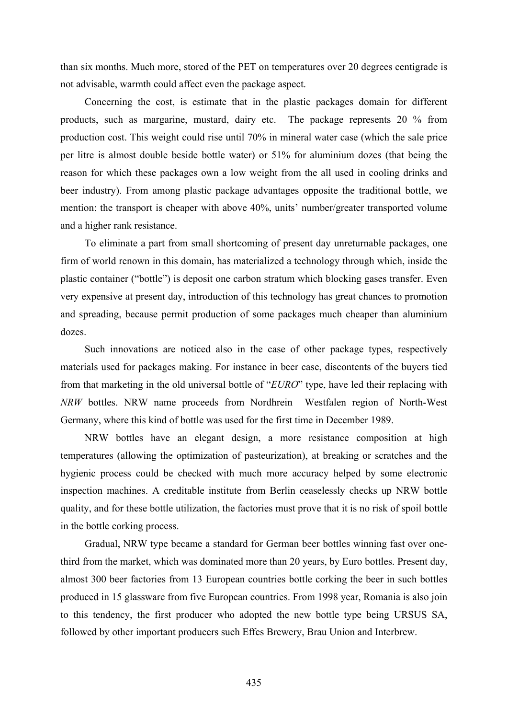than six months. Much more, stored of the PET on temperatures over 20 degrees centigrade is not advisable, warmth could affect even the package aspect.

Concerning the cost, is estimate that in the plastic packages domain for different products, such as margarine, mustard, dairy etc. The package represents 20 % from production cost. This weight could rise until 70% in mineral water case (which the sale price per litre is almost double beside bottle water) or 51% for aluminium dozes (that being the reason for which these packages own a low weight from the all used in cooling drinks and beer industry). From among plastic package advantages opposite the traditional bottle, we mention: the transport is cheaper with above 40%, units' number/greater transported volume and a higher rank resistance.

To eliminate a part from small shortcoming of present day unreturnable packages, one firm of world renown in this domain, has materialized a technology through which, inside the plastic container ("bottle") is deposit one carbon stratum which blocking gases transfer. Even very expensive at present day, introduction of this technology has great chances to promotion and spreading, because permit production of some packages much cheaper than aluminium dozes.

Such innovations are noticed also in the case of other package types, respectively materials used for packages making. For instance in beer case, discontents of the buyers tied from that marketing in the old universal bottle of "*EURO*" type, have led their replacing with *NRW* bottles. NRW name proceeds from Nordhrein Westfalen region of North-West Germany, where this kind of bottle was used for the first time in December 1989.

NRW bottles have an elegant design, a more resistance composition at high temperatures (allowing the optimization of pasteurization), at breaking or scratches and the hygienic process could be checked with much more accuracy helped by some electronic inspection machines. A creditable institute from Berlin ceaselessly checks up NRW bottle quality, and for these bottle utilization, the factories must prove that it is no risk of spoil bottle in the bottle corking process.

Gradual, NRW type became a standard for German beer bottles winning fast over onethird from the market, which was dominated more than 20 years, by Euro bottles. Present day, almost 300 beer factories from 13 European countries bottle corking the beer in such bottles produced in 15 glassware from five European countries. From 1998 year, Romania is also join to this tendency, the first producer who adopted the new bottle type being URSUS SA, followed by other important producers such Effes Brewery, Brau Union and Interbrew.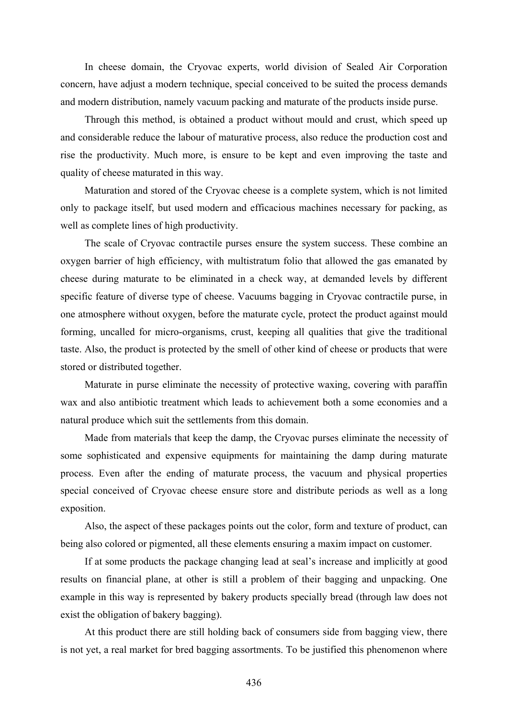In cheese domain, the Cryovac experts, world division of Sealed Air Corporation concern, have adjust a modern technique, special conceived to be suited the process demands and modern distribution, namely vacuum packing and maturate of the products inside purse.

Through this method, is obtained a product without mould and crust, which speed up and considerable reduce the labour of maturative process, also reduce the production cost and rise the productivity. Much more, is ensure to be kept and even improving the taste and quality of cheese maturated in this way.

Maturation and stored of the Cryovac cheese is a complete system, which is not limited only to package itself, but used modern and efficacious machines necessary for packing, as well as complete lines of high productivity.

The scale of Cryovac contractile purses ensure the system success. These combine an oxygen barrier of high efficiency, with multistratum folio that allowed the gas emanated by cheese during maturate to be eliminated in a check way, at demanded levels by different specific feature of diverse type of cheese. Vacuums bagging in Cryovac contractile purse, in one atmosphere without oxygen, before the maturate cycle, protect the product against mould forming, uncalled for micro-organisms, crust, keeping all qualities that give the traditional taste. Also, the product is protected by the smell of other kind of cheese or products that were stored or distributed together.

Maturate in purse eliminate the necessity of protective waxing, covering with paraffin wax and also antibiotic treatment which leads to achievement both a some economies and a natural produce which suit the settlements from this domain.

Made from materials that keep the damp, the Cryovac purses eliminate the necessity of some sophisticated and expensive equipments for maintaining the damp during maturate process. Even after the ending of maturate process, the vacuum and physical properties special conceived of Cryovac cheese ensure store and distribute periods as well as a long exposition.

Also, the aspect of these packages points out the color, form and texture of product, can being also colored or pigmented, all these elements ensuring a maxim impact on customer.

If at some products the package changing lead at seal's increase and implicitly at good results on financial plane, at other is still a problem of their bagging and unpacking. One example in this way is represented by bakery products specially bread (through law does not exist the obligation of bakery bagging).

At this product there are still holding back of consumers side from bagging view, there is not yet, a real market for bred bagging assortments. To be justified this phenomenon where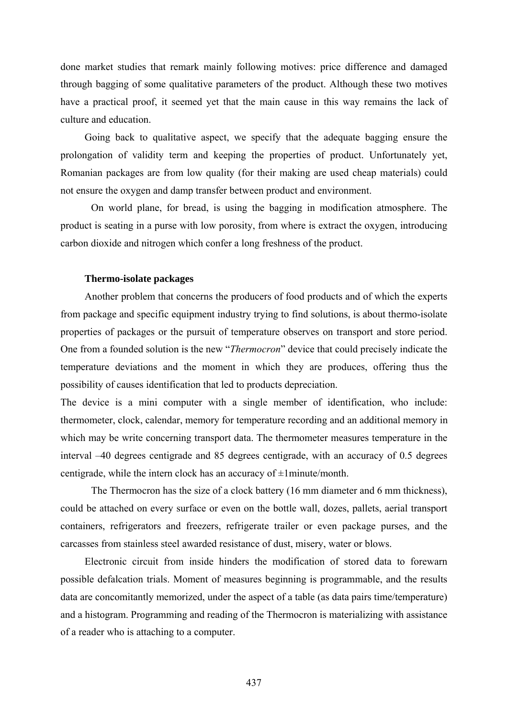done market studies that remark mainly following motives: price difference and damaged through bagging of some qualitative parameters of the product. Although these two motives have a practical proof, it seemed yet that the main cause in this way remains the lack of culture and education.

Going back to qualitative aspect, we specify that the adequate bagging ensure the prolongation of validity term and keeping the properties of product. Unfortunately yet, Romanian packages are from low quality (for their making are used cheap materials) could not ensure the oxygen and damp transfer between product and environment.

 On world plane, for bread, is using the bagging in modification atmosphere. The product is seating in a purse with low porosity, from where is extract the oxygen, introducing carbon dioxide and nitrogen which confer a long freshness of the product.

### **Thermo-isolate packages**

Another problem that concerns the producers of food products and of which the experts from package and specific equipment industry trying to find solutions, is about thermo-isolate properties of packages or the pursuit of temperature observes on transport and store period. One from a founded solution is the new "*Thermocron*" device that could precisely indicate the temperature deviations and the moment in which they are produces, offering thus the possibility of causes identification that led to products depreciation.

The device is a mini computer with a single member of identification, who include: thermometer, clock, calendar, memory for temperature recording and an additional memory in which may be write concerning transport data. The thermometer measures temperature in the interval –40 degrees centigrade and 85 degrees centigrade, with an accuracy of 0.5 degrees centigrade, while the intern clock has an accuracy of  $\pm 1$ minute/month.

 The Thermocron has the size of a clock battery (16 mm diameter and 6 mm thickness), could be attached on every surface or even on the bottle wall, dozes, pallets, aerial transport containers, refrigerators and freezers, refrigerate trailer or even package purses, and the carcasses from stainless steel awarded resistance of dust, misery, water or blows.

Electronic circuit from inside hinders the modification of stored data to forewarn possible defalcation trials. Moment of measures beginning is programmable, and the results data are concomitantly memorized, under the aspect of a table (as data pairs time/temperature) and a histogram. Programming and reading of the Thermocron is materializing with assistance of a reader who is attaching to a computer.